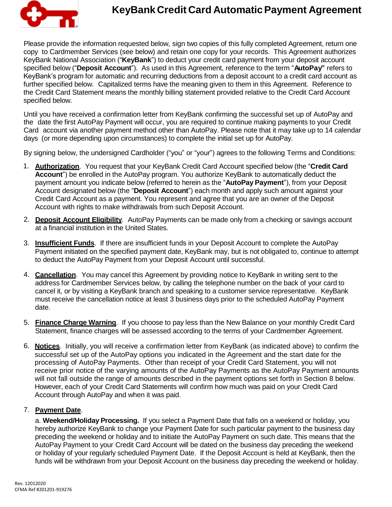

## **KeyBankCredit Card AutomaticPayment Agreement**

Please provide the information requested below, sign two copies of this fully completed Agreement, return one copy to Cardmember Services (see below) and retain one copy for your records. This Agreement authorizes KeyBank National Association ("**KeyBank**") to deduct your credit card payment from your deposit account specified below ("**Deposit Account**"). As used in this Agreement, reference to the term "**AutoPay"** refers to KeyBank's program for automatic and recurring deductions from a deposit account to a credit card account as further specified below. Capitalized terms have the meaning given to them in this Agreement. Reference to the Credit Card Statement means the monthly billing statement provided relative to the Credit Card Account specified below.

Until you have received a confirmation letter from KeyBank confirming the successful set up of AutoPay and the date the first AutoPay Payment will occur, you are required to continue making payments to your Credit Card account via another payment method other than AutoPay. Please note that it may take up to 14 calendar days (or more depending upon circumstances) to complete the initial set up for AutoPay.

By signing below, the undersigned Cardholder ("you" or "your") agrees to the following Terms and Conditions:

- 1. **Authorization**. You request that your KeyBank Credit Card Account specified below (the "**Credit Card Account**") be enrolled in the AutoPay program. You authorize KeyBank to automatically deduct the payment amount you indicate below (referred to herein as the "**AutoPay Payment**"), from your Deposit Account designated below (the "**Deposit Account**") each month and apply such amount against your Credit Card Account as a payment. You represent and agree that you are an owner of the Deposit Account with rights to make withdrawals from such Deposit Account.
- 2. **Deposit Account Eligibility**. AutoPay Payments can be made only from a checking or savings account at a financial institution in the United States.
- 3. **Insufficient Funds**. If there are insufficient funds in your Deposit Account to complete the AutoPay Payment initiated on the specified payment date, KeyBank may, but is not obligated to, continue to attempt to deduct the AutoPay Payment from your Deposit Account until successful.
- 4. **Cancellation**. You may cancel this Agreement by providing notice to KeyBank in writing sent to the address for Cardmember Services below, by calling the telephone number on the back of your card to cancel it, or by visiting a KeyBank branch and speaking to a customer service representative. KeyBank must receive the cancellation notice at least 3 business days prior to the scheduled AutoPay Payment date.
- 5. **Finance Charge Warning**. If you choose to pay less than the New Balance on your monthly Credit Card Statement, finance charges will be assessed according to the terms of your Cardmember Agreement.
- 6. **Notices**. Initially, you will receive a confirmation letter from KeyBank (as indicated above) to confirm the successful set up of the AutoPay options you indicated in the Agreement and the start date for the processing of AutoPay Payments. Other than receipt of your Credit Card Statement, you will not receive prior notice of the varying amounts of the AutoPay Payments as the AutoPay Payment amounts will not fall outside the range of amounts described in the payment options set forth in Section 8 below. However, each of your Credit Card Statements will confirm how much was paid on your Credit Card Account through AutoPay and when it was paid.

## 7. **Payment Date**.

a. **Weekend/Holiday Processing.** If you select a Payment Date that falls on a weekend or holiday, you hereby authorize KeyBank to change your Payment Date for such particular payment to the business day preceding the weekend or holiday and to initiate the AutoPay Payment on such date. This means that the AutoPay Payment to your Credit Card Account will be dated on the business day preceding the weekend or holiday of your regularly scheduled Payment Date. If the Deposit Account is held at KeyBank, then the funds will be withdrawn from your Deposit Account on the business day preceding the weekend or holiday.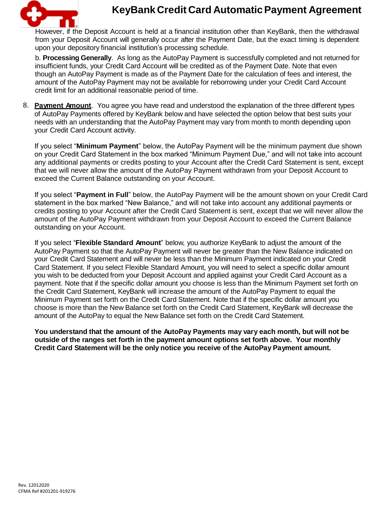

## **KeyBankCredit Card AutomaticPayment Agreement**

However, if the Deposit Account is held at a financial institution other than KeyBank, then the withdrawal from your Deposit Account will generally occur after the Payment Date, but the exact timing is dependent upon your depository financial institution's processing schedule.

b. **Processing Generally**. As long as the AutoPay Payment is successfully completed and not returned for insufficient funds, your Credit Card Account will be credited as of the Payment Date. Note that even though an AutoPay Payment is made as of the Payment Date for the calculation of fees and interest, the amount of the AutoPay Payment may not be available for reborrowing under your Credit Card Account credit limit for an additional reasonable period of time.

8. **Payment Amount**. You agree you have read and understood the explanation of the three different types of AutoPay Payments offered by KeyBank below and have selected the option below that best suits your needs with an understanding that the AutoPay Payment may vary from month to month depending upon your Credit Card Account activity.

If you select "**Minimum Payment**" below, the AutoPay Payment will be the minimum payment due shown on your Credit Card Statement in the box marked "Minimum Payment Due," and will not take into account any additional payments or credits posting to your Account after the Credit Card Statement is sent, except that we will never allow the amount of the AutoPay Payment withdrawn from your Deposit Account to exceed the Current Balance outstanding on your Account.

If you select "**Payment in Full**" below, the AutoPay Payment will be the amount shown on your Credit Card statement in the box marked "New Balance," and will not take into account any additional payments or credits posting to your Account after the Credit Card Statement is sent, except that we will never allow the amount of the AutoPay Payment withdrawn from your Deposit Account to exceed the Current Balance outstanding on your Account.

If you select "**Flexible Standard Amount**" below, you authorize KeyBank to adjust the amount of the AutoPay Payment so that the AutoPay Payment will never be greater than the New Balance indicated on your Credit Card Statement and will never be less than the Minimum Payment indicated on your Credit Card Statement. If you select Flexible Standard Amount, you will need to select a specific dollar amount you wish to be deducted from your Deposit Account and applied against your Credit Card Account as a payment. Note that if the specific dollar amount you choose is less than the Minimum Payment set forth on the Credit Card Statement, KeyBank will increase the amount of the AutoPay Payment to equal the Minimum Payment set forth on the Credit Card Statement. Note that if the specific dollar amount you choose is more than the New Balance set forth on the Credit Card Statement, KeyBank will decrease the amount of the AutoPay to equal the New Balance set forth on the Credit Card Statement.

**You understand that the amount of the AutoPay Payments may vary each month, but will not be outside of the ranges set forth in the payment amount options set forth above. Your monthly Credit Card Statement will be the only notice you receive of the AutoPay Payment amount.**